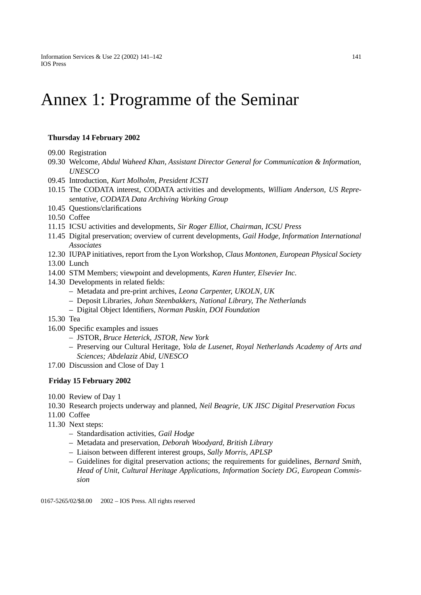## Annex 1: Programme of the Seminar

## **Thursday 14 February 2002**

- 09.00 Registration
- 09.30 Welcome, *Abdul Waheed Khan, Assistant Director General for Communication & Information, UNESCO*
- 09.45 Introduction, *Kurt Molholm, President ICSTI*
- 10.15 The CODATA interest, CODATA activities and developments, *William Anderson, US Representative, CODATA Data Archiving Working Group*
- 10.45 Questions/clarifications
- 10.50 Coffee
- 11.15 ICSU activities and developments, *Sir Roger Elliot, Chairman, ICSU Press*
- 11.45 Digital preservation; overview of current developments, *Gail Hodge, Information International Associates*
- 12.30 IUPAP initiatives, report from the Lyon Workshop, *Claus Montonen, European Physical Society*
- 13.00 Lunch
- 14.00 STM Members; viewpoint and developments, *Karen Hunter, Elsevier Inc.*
- 14.30 Developments in related fields:
	- Metadata and pre-print archives, *Leona Carpenter, UKOLN, UK*
	- Deposit Libraries, *Johan Steenbakkers, National Library, The Netherlands*
	- Digital Object Identifiers, *Norman Paskin, DOI Foundation*
- 15.30 Tea
- 16.00 Specific examples and issues
	- JSTOR, *Bruce Heterick, JSTOR, New York*
	- Preserving our Cultural Heritage, *Yola de Lusenet, Royal Netherlands Academy of Arts and Sciences; Abdelaziz Abid, UNESCO*
- 17.00 Discussion and Close of Day 1

## **Friday 15 February 2002**

- 10.00 Review of Day 1
- 10.30 Research projects underway and planned, *Neil Beagrie, UK JISC Digital Preservation Focus*
- 11.00 Coffee
- 11.30 Next steps:
	- Standardisation activities, *Gail Hodge*
	- Metadata and preservation, *Deborah Woodyard, British Library*
	- Liaison between different interest groups, *Sally Morris, APLSP*
	- Guidelines for digital preservation actions; the requirements for guidelines, *Bernard Smith, Head of Unit, Cultural Heritage Applications, Information Society DG, European Commission*

0167-5265/02/\$8.00 © 2002 - IOS Press. All rights reserved